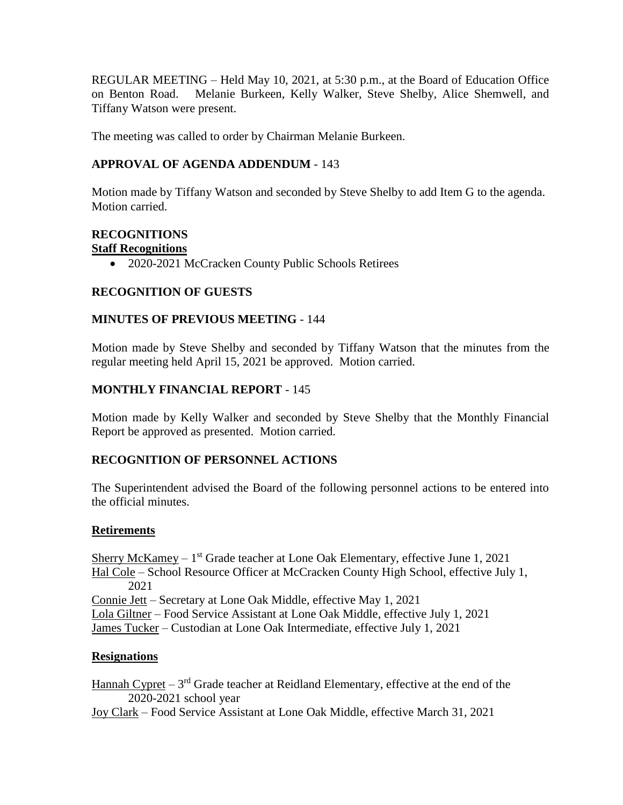REGULAR MEETING – Held May 10, 2021, at 5:30 p.m., at the Board of Education Office on Benton Road. Melanie Burkeen, Kelly Walker, Steve Shelby, Alice Shemwell, and Tiffany Watson were present.

The meeting was called to order by Chairman Melanie Burkeen.

# **APPROVAL OF AGENDA ADDENDUM** - 143

Motion made by Tiffany Watson and seconded by Steve Shelby to add Item G to the agenda. Motion carried.

# **RECOGNITIONS**

# **Staff Recognitions**

• 2020-2021 McCracken County Public Schools Retirees

# **RECOGNITION OF GUESTS**

# **MINUTES OF PREVIOUS MEETING** - 144

Motion made by Steve Shelby and seconded by Tiffany Watson that the minutes from the regular meeting held April 15, 2021 be approved. Motion carried.

# **MONTHLY FINANCIAL REPORT** - 145

Motion made by Kelly Walker and seconded by Steve Shelby that the Monthly Financial Report be approved as presented. Motion carried.

# **RECOGNITION OF PERSONNEL ACTIONS**

The Superintendent advised the Board of the following personnel actions to be entered into the official minutes.

# **Retirements**

Sherry McKamey – 1<sup>st</sup> Grade teacher at Lone Oak Elementary, effective June 1, 2021 Hal Cole – School Resource Officer at McCracken County High School, effective July 1, 2021 Connie Jett – Secretary at Lone Oak Middle, effective May 1, 2021 Lola Giltner – Food Service Assistant at Lone Oak Middle, effective July 1, 2021 James Tucker – Custodian at Lone Oak Intermediate, effective July 1, 2021

# **Resignations**

Hannah Cypret  $-3^{rd}$  Grade teacher at Reidland Elementary, effective at the end of the 2020-2021 school year

Joy Clark – Food Service Assistant at Lone Oak Middle, effective March 31, 2021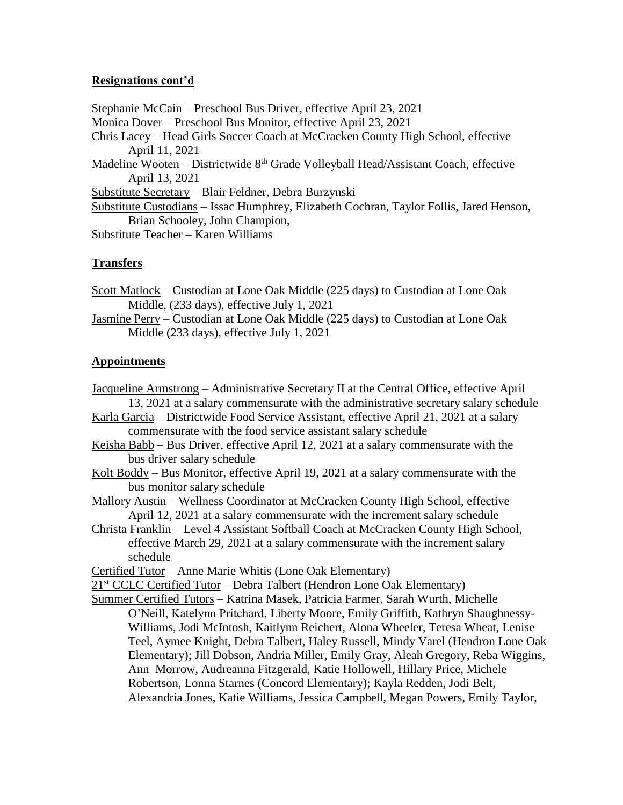## **Resignations cont'd**

Stephanie McCain – Preschool Bus Driver, effective April 23, 2021 Monica Dover – Preschool Bus Monitor, effective April 23, 2021 Chris Lacey – Head Girls Soccer Coach at McCracken County High School, effective April 11, 2021 Madeline Wooten – Districtwide  $8<sup>th</sup>$  Grade Volleyball Head/Assistant Coach, effective April 13, 2021 Substitute Secretary – Blair Feldner, Debra Burzynski Substitute Custodians – Issac Humphrey, Elizabeth Cochran, Taylor Follis, Jared Henson, Brian Schooley, John Champion, Substitute Teacher – Karen Williams

## **Transfers**

- Scott Matlock Custodian at Lone Oak Middle (225 days) to Custodian at Lone Oak Middle, (233 days), effective July 1, 2021
- Jasmine Perry Custodian at Lone Oak Middle (225 days) to Custodian at Lone Oak Middle (233 days), effective July 1, 2021

### **Appointments**

- Jacqueline Armstrong Administrative Secretary II at the Central Office, effective April 13, 2021 at a salary commensurate with the administrative secretary salary schedule
- Karla Garcia Districtwide Food Service Assistant, effective April 21, 2021 at a salary commensurate with the food service assistant salary schedule
- Keisha Babb Bus Driver, effective April 12, 2021 at a salary commensurate with the bus driver salary schedule
- Kolt Boddy Bus Monitor, effective April 19, 2021 at a salary commensurate with the bus monitor salary schedule
- Mallory Austin Wellness Coordinator at McCracken County High School, effective April 12, 2021 at a salary commensurate with the increment salary schedule
- Christa Franklin Level 4 Assistant Softball Coach at McCracken County High School, effective March 29, 2021 at a salary commensurate with the increment salary schedule
- Certified Tutor Anne Marie Whitis (Lone Oak Elementary)

21<sup>st</sup> CCLC Certified Tutor – Debra Talbert (Hendron Lone Oak Elementary)

Summer Certified Tutors – Katrina Masek, Patricia Farmer, Sarah Wurth, Michelle O'Neill, Katelynn Pritchard, Liberty Moore, Emily Griffith, Kathryn Shaughnessy-Williams, Jodi McIntosh, Kaitlynn Reichert, Alona Wheeler, Teresa Wheat, Lenise Teel, Aymee Knight, Debra Talbert, Haley Russell, Mindy Varel (Hendron Lone Oak Elementary); Jill Dobson, Andria Miller, Emily Gray, Aleah Gregory, Reba Wiggins, Ann Morrow, Audreanna Fitzgerald, Katie Hollowell, Hillary Price, Michele Robertson, Lonna Starnes (Concord Elementary); Kayla Redden, Jodi Belt, Alexandria Jones, Katie Williams, Jessica Campbell, Megan Powers, Emily Taylor,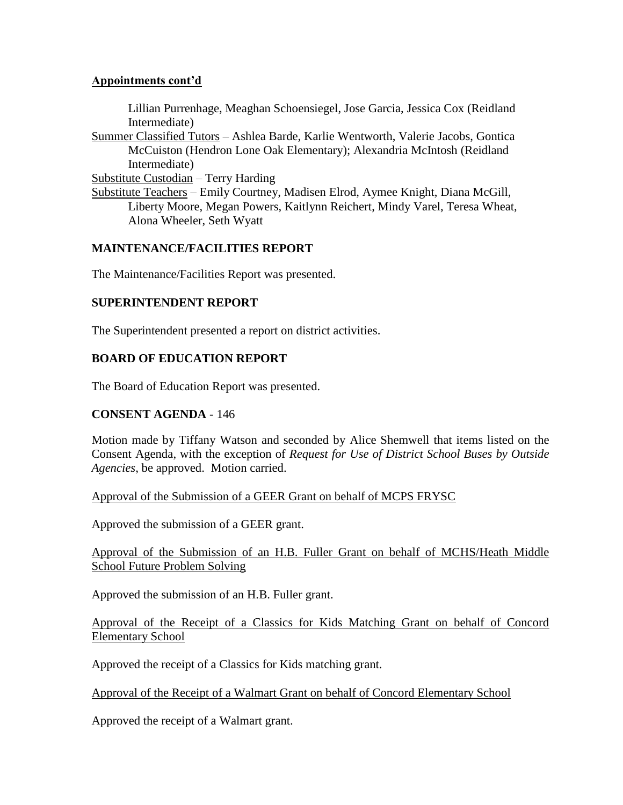## **Appointments cont'd**

Lillian Purrenhage, Meaghan Schoensiegel, Jose Garcia, Jessica Cox (Reidland Intermediate)

Summer Classified Tutors – Ashlea Barde, Karlie Wentworth, Valerie Jacobs, Gontica McCuiston (Hendron Lone Oak Elementary); Alexandria McIntosh (Reidland Intermediate)

Substitute Custodian – Terry Harding

Substitute Teachers – Emily Courtney, Madisen Elrod, Aymee Knight, Diana McGill, Liberty Moore, Megan Powers, Kaitlynn Reichert, Mindy Varel, Teresa Wheat, Alona Wheeler, Seth Wyatt

## **MAINTENANCE/FACILITIES REPORT**

The Maintenance/Facilities Report was presented.

# **SUPERINTENDENT REPORT**

The Superintendent presented a report on district activities.

## **BOARD OF EDUCATION REPORT**

The Board of Education Report was presented.

### **CONSENT AGENDA** - 146

Motion made by Tiffany Watson and seconded by Alice Shemwell that items listed on the Consent Agenda, with the exception of *Request for Use of District School Buses by Outside Agencies*, be approved. Motion carried.

### Approval of the Submission of a GEER Grant on behalf of MCPS FRYSC

Approved the submission of a GEER grant.

## Approval of the Submission of an H.B. Fuller Grant on behalf of MCHS/Heath Middle School Future Problem Solving

Approved the submission of an H.B. Fuller grant.

## Approval of the Receipt of a Classics for Kids Matching Grant on behalf of Concord Elementary School

Approved the receipt of a Classics for Kids matching grant.

Approval of the Receipt of a Walmart Grant on behalf of Concord Elementary School

Approved the receipt of a Walmart grant.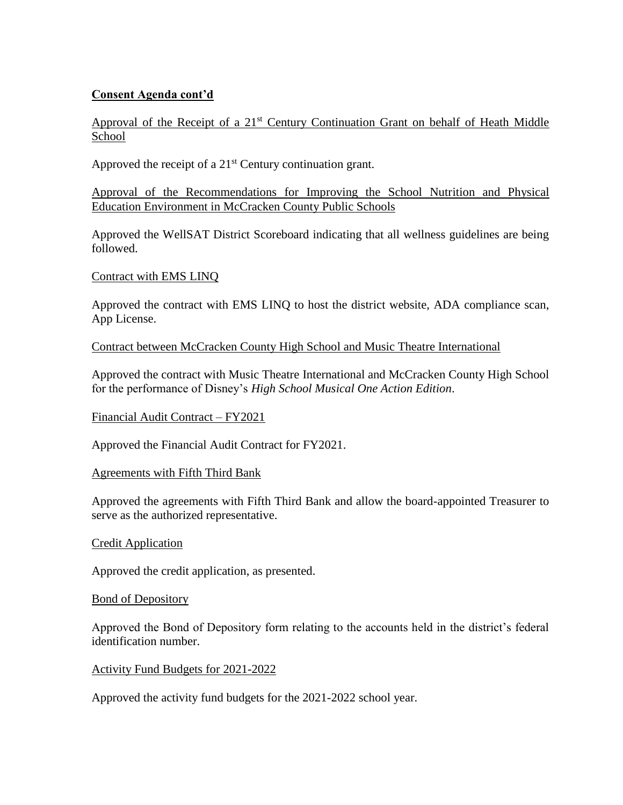# **Consent Agenda cont'd**

Approval of the Receipt of a 21<sup>st</sup> Century Continuation Grant on behalf of Heath Middle School

Approved the receipt of a  $21<sup>st</sup>$  Century continuation grant.

Approval of the Recommendations for Improving the School Nutrition and Physical Education Environment in McCracken County Public Schools

Approved the WellSAT District Scoreboard indicating that all wellness guidelines are being followed.

### Contract with EMS LINQ

Approved the contract with EMS LINQ to host the district website, ADA compliance scan, App License.

### Contract between McCracken County High School and Music Theatre International

Approved the contract with Music Theatre International and McCracken County High School for the performance of Disney's *High School Musical One Action Edition*.

### Financial Audit Contract – FY2021

Approved the Financial Audit Contract for FY2021.

#### Agreements with Fifth Third Bank

Approved the agreements with Fifth Third Bank and allow the board-appointed Treasurer to serve as the authorized representative.

#### Credit Application

Approved the credit application, as presented.

#### Bond of Depository

Approved the Bond of Depository form relating to the accounts held in the district's federal identification number.

#### Activity Fund Budgets for 2021-2022

Approved the activity fund budgets for the 2021-2022 school year.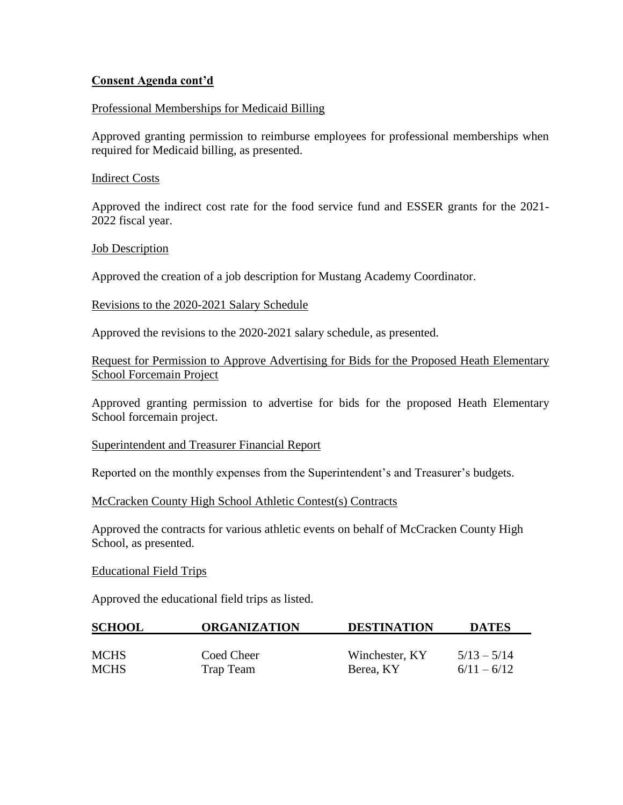## **Consent Agenda cont'd**

### Professional Memberships for Medicaid Billing

Approved granting permission to reimburse employees for professional memberships when required for Medicaid billing, as presented.

#### Indirect Costs

Approved the indirect cost rate for the food service fund and ESSER grants for the 2021- 2022 fiscal year.

### Job Description

Approved the creation of a job description for Mustang Academy Coordinator.

### Revisions to the 2020-2021 Salary Schedule

Approved the revisions to the 2020-2021 salary schedule, as presented.

## Request for Permission to Approve Advertising for Bids for the Proposed Heath Elementary School Forcemain Project

Approved granting permission to advertise for bids for the proposed Heath Elementary School forcemain project.

#### Superintendent and Treasurer Financial Report

Reported on the monthly expenses from the Superintendent's and Treasurer's budgets.

#### McCracken County High School Athletic Contest(s) Contracts

Approved the contracts for various athletic events on behalf of McCracken County High School, as presented.

#### Educational Field Trips

Approved the educational field trips as listed.

| <b>SCHOOL</b> | <b>ORGANIZATION</b> | <b>DESTINATION</b> | <b>DATES</b>  |
|---------------|---------------------|--------------------|---------------|
|               |                     |                    |               |
| <b>MCHS</b>   | Coed Cheer          | Winchester, KY     | $5/13 - 5/14$ |
| <b>MCHS</b>   | Trap Team           | Berea, KY          | $6/11 - 6/12$ |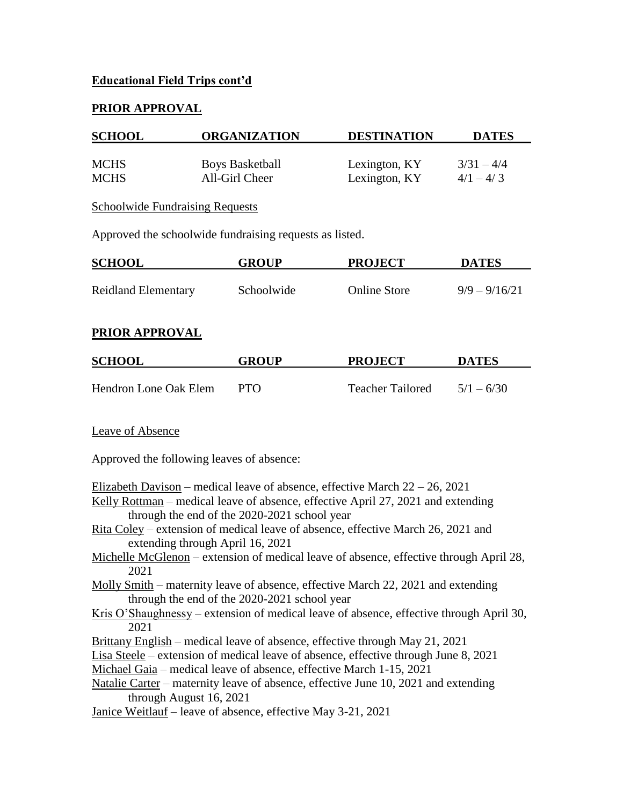# **Educational Field Trips cont'd**

# **PRIOR APPROVAL**

| <b>SCHOOL</b>              | <b>ORGANIZATION</b>                                     | <b>DESTINATION</b>             | <b>DATES</b>                |
|----------------------------|---------------------------------------------------------|--------------------------------|-----------------------------|
| <b>MCHS</b><br><b>MCHS</b> | <b>Boys Basketball</b><br>All-Girl Cheer                | Lexington, KY<br>Lexington, KY | $3/31 - 4/4$<br>$4/1 - 4/3$ |
|                            | <b>Schoolwide Fundraising Requests</b>                  |                                |                             |
|                            | Approved the schoolwide fundraising requests as listed. |                                |                             |

| <b>SCHOOL</b>              | <b>GROUP</b> | <b>PROJECT</b>      | <b>DATES</b>    |
|----------------------------|--------------|---------------------|-----------------|
| <b>Reidland Elementary</b> | Schoolwide   | <b>Online Store</b> | $9/9 - 9/16/21$ |

## **PRIOR APPROVAL**

| <b>SCHOOL</b>         | <b>GROUP</b> | <b>PROJECT</b>          | <b>DATES</b> |
|-----------------------|--------------|-------------------------|--------------|
|                       |              |                         |              |
| Hendron Lone Oak Elem | <b>PTO</b>   | <b>Teacher Tailored</b> | $5/1 - 6/30$ |

### Leave of Absence

Approved the following leaves of absence:

Elizabeth Davison – medical leave of absence, effective March  $22 - 26$ ,  $2021$ 

- Kelly Rottman medical leave of absence, effective April 27, 2021 and extending through the end of the 2020-2021 school year
- Rita Coley extension of medical leave of absence, effective March 26, 2021 and extending through April 16, 2021
- Michelle McGlenon extension of medical leave of absence, effective through April 28, 2021
- Molly Smith maternity leave of absence, effective March 22, 2021 and extending through the end of the 2020-2021 school year
- Kris O'Shaughnessy extension of medical leave of absence, effective through April 30, 2021
- Brittany English medical leave of absence, effective through May 21, 2021
- Lisa Steele extension of medical leave of absence, effective through June 8, 2021
- Michael Gaia medical leave of absence, effective March 1-15, 2021
- Natalie Carter maternity leave of absence, effective June 10, 2021 and extending through August 16, 2021
- Janice Weitlauf leave of absence, effective May 3-21, 2021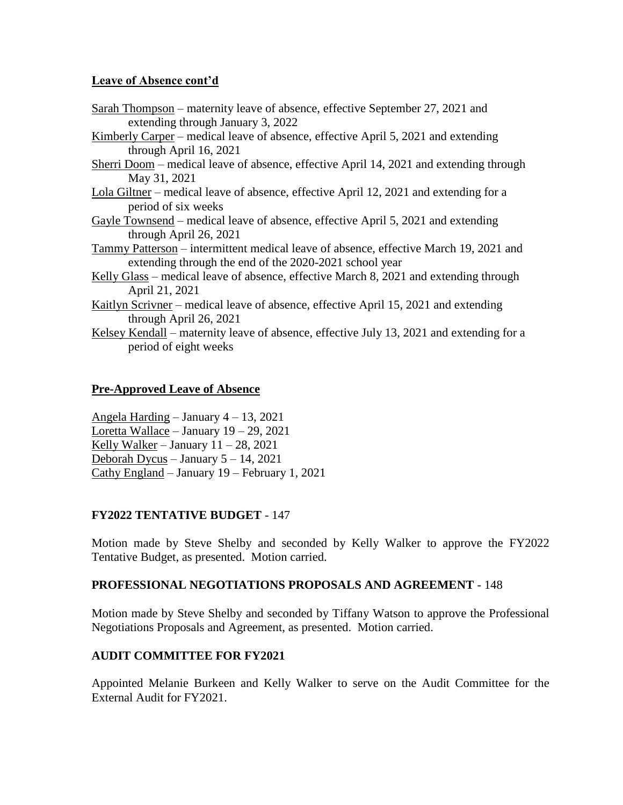## **Leave of Absence cont'd**

| Sarah Thompson – maternity leave of absence, effective September 27, 2021 and                 |
|-----------------------------------------------------------------------------------------------|
| extending through January 3, 2022                                                             |
| Kimberly Carper – medical leave of absence, effective April 5, 2021 and extending             |
| through April 16, 2021                                                                        |
| <u>Sherri Doom</u> – medical leave of absence, effective April 14, 2021 and extending through |
| May 31, 2021                                                                                  |
| Lola Giltner – medical leave of absence, effective April 12, 2021 and extending for a         |
| period of six weeks                                                                           |
| Gayle Townsend – medical leave of absence, effective April 5, 2021 and extending              |
| through April 26, 2021                                                                        |
| Tammy Patterson – intermittent medical leave of absence, effective March 19, 2021 and         |
| extending through the end of the 2020-2021 school year                                        |
| Kelly Glass – medical leave of absence, effective March 8, 2021 and extending through         |
| April 21, 2021                                                                                |
| Kaitlyn Scrivner – medical leave of absence, effective April 15, 2021 and extending           |
| through April 26, 2021                                                                        |
| Kelsey Kendall – maternity leave of absence, effective July 13, 2021 and extending for a      |
| period of eight weeks                                                                         |
|                                                                                               |

# **Pre-Approved Leave of Absence**

Angela Harding – January 4 – 13, 2021 Loretta Wallace – January 19 – 29, 2021 Kelly Walker – January  $11 - 28$ , 2021 Deborah Dycus – January 5 – 14, 2021 Cathy England – January 19 – February 1, 2021

# **FY2022 TENTATIVE BUDGET** - 147

Motion made by Steve Shelby and seconded by Kelly Walker to approve the FY2022 Tentative Budget, as presented. Motion carried.

# **PROFESSIONAL NEGOTIATIONS PROPOSALS AND AGREEMENT** - 148

Motion made by Steve Shelby and seconded by Tiffany Watson to approve the Professional Negotiations Proposals and Agreement, as presented. Motion carried.

# **AUDIT COMMITTEE FOR FY2021**

Appointed Melanie Burkeen and Kelly Walker to serve on the Audit Committee for the External Audit for FY2021.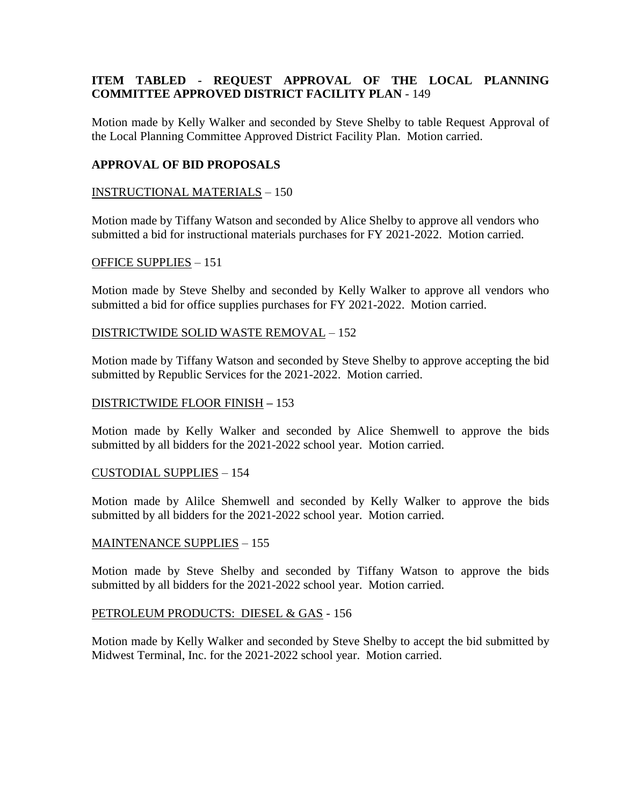# **ITEM TABLED - REQUEST APPROVAL OF THE LOCAL PLANNING COMMITTEE APPROVED DISTRICT FACILITY PLAN** - 149

Motion made by Kelly Walker and seconded by Steve Shelby to table Request Approval of the Local Planning Committee Approved District Facility Plan. Motion carried.

## **APPROVAL OF BID PROPOSALS**

### INSTRUCTIONAL MATERIALS – 150

Motion made by Tiffany Watson and seconded by Alice Shelby to approve all vendors who submitted a bid for instructional materials purchases for FY 2021-2022. Motion carried.

### OFFICE SUPPLIES – 151

Motion made by Steve Shelby and seconded by Kelly Walker to approve all vendors who submitted a bid for office supplies purchases for FY 2021-2022. Motion carried.

### DISTRICTWIDE SOLID WASTE REMOVAL – 152

Motion made by Tiffany Watson and seconded by Steve Shelby to approve accepting the bid submitted by Republic Services for the 2021-2022. Motion carried.

#### DISTRICTWIDE FLOOR FINISH **–** 153

Motion made by Kelly Walker and seconded by Alice Shemwell to approve the bids submitted by all bidders for the 2021-2022 school year. Motion carried.

#### CUSTODIAL SUPPLIES – 154

Motion made by Alilce Shemwell and seconded by Kelly Walker to approve the bids submitted by all bidders for the 2021-2022 school year. Motion carried.

#### MAINTENANCE SUPPLIES – 155

Motion made by Steve Shelby and seconded by Tiffany Watson to approve the bids submitted by all bidders for the 2021-2022 school year. Motion carried.

### PETROLEUM PRODUCTS: DIESEL & GAS - 156

Motion made by Kelly Walker and seconded by Steve Shelby to accept the bid submitted by Midwest Terminal, Inc. for the 2021-2022 school year. Motion carried.